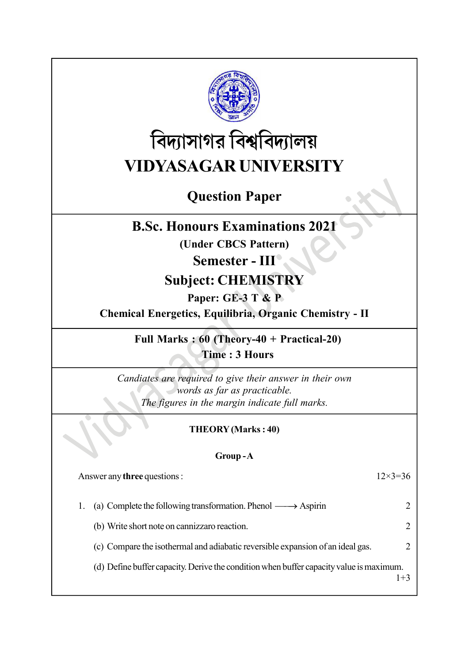

# বিদ্যাসাগর বিশ্ববিদ্যালয় VIDYASAGAR UNIVERSITY

## Question Paper

### B.Sc. Honours Examinations 2021

(Under CBCS Pattern)

### Semester - III

### Subject: CHEMISTRY

### Paper: GE-3 T & P

Chemical Energetics, Equilibria, Organic Chemistry - II

Full Marks : 60 (Theory-40 + Practical-20) Time : 3 Hours

Candiates are required to give their answer in their own words as far as practicable. The figures in the margin indicate full marks.

### THEORY (Marks : 40)

### Group - A

Answer any three questions : 12×3=36

| 1. | (a) Complete the following transformation. Phenol $\longrightarrow$ Aspirin             |  |
|----|-----------------------------------------------------------------------------------------|--|
|    | (b) Write short note on cannizzaro reaction.                                            |  |
|    | (c) Compare the isothermal and adiabatic reversible expansion of an ideal gas.          |  |
|    | (d) Define buffer capacity. Derive the condition when buffer capacity value is maximum. |  |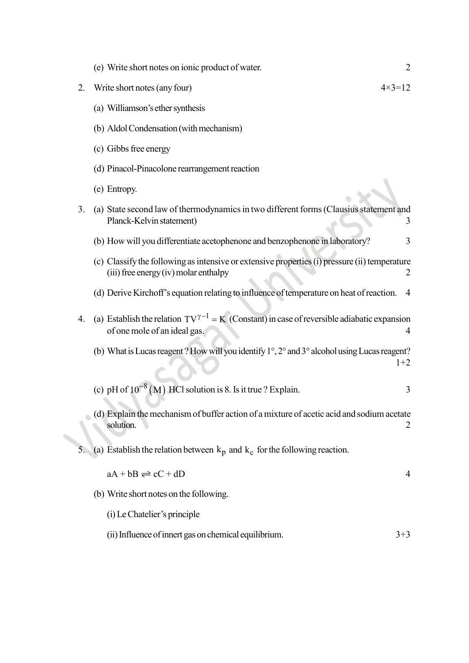|    | (e) Write short notes on ionic product of water.                                                                                       | $\overline{2}$    |
|----|----------------------------------------------------------------------------------------------------------------------------------------|-------------------|
| 2. | Write short notes (any four)                                                                                                           | $4 \times 3 = 12$ |
|    | (a) Williamson's ether synthesis                                                                                                       |                   |
|    | (b) Aldol Condensation (with mechanism)                                                                                                |                   |
|    | (c) Gibbs free energy                                                                                                                  |                   |
|    | (d) Pinacol-Pinacolone rearrangement reaction                                                                                          |                   |
|    | (e) Entropy.                                                                                                                           |                   |
| 3. | (a) State second law of thermodynamics in two different forms (Clausius statement and<br>Planck-Kelvin statement)                      | 3                 |
|    | (b) How will you differentiate acetophenone and benzophenone in laboratory?                                                            | 3                 |
|    | (c) Classify the following as intensive or extensive properties (i) pressure (ii) temperature<br>(iii) free energy (iv) molar enthalpy | 2                 |
|    | (d) Derive Kirchoff's equation relating to influence of temperature on heat of reaction.                                               | 4                 |
| 4. | (a) Establish the relation $TV^{\gamma-1} = K$ (Constant) in case of reversible adiabatic expansion<br>of one mole of an ideal gas.    | $\overline{4}$    |
|    | (b) What is Lucas reagent? How will you identify 1°, 2° and 3° alcohol using Lucas reagent?                                            | $1+2$             |
|    | (c) pH of $10^{-8}$ (M) HCl solution is 8. Is it true ? Explain.                                                                       | 3                 |
|    | (d) Explain the mechanism of buffer action of a mixture of acetic acid and sodium acetate<br>solution.                                 | 2                 |
| 5. | (a) Establish the relation between $k_p$ and $k_c$ for the following reaction.                                                         |                   |
|    | $aA + bB \rightleftharpoons cC + dD$                                                                                                   | 4                 |
|    | (b) Write short notes on the following.                                                                                                |                   |
|    | (i) Le Chatelier's principle                                                                                                           |                   |
|    | (ii) Influence of innert gas on chemical equilibrium.                                                                                  | $3 + 3$           |
|    |                                                                                                                                        |                   |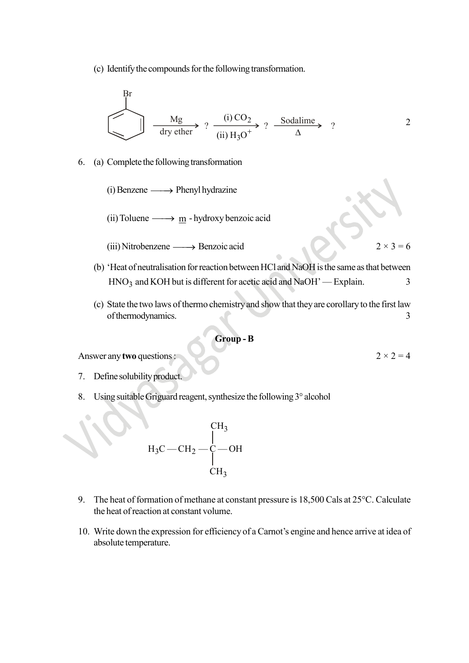(c) Identify the compounds for the following transformation.

$$
\begin{array}{c}\n\text{Br} \\
\hline\n\text{dry either}\n\end{array}\n\quad \text{or} \quad\n\begin{array}{c}\n(i) \text{CO}_2 \\
(i) \text{H}_3\text{O}^+\n\end{array}\n\quad \text{Sodalime} \quad \text{?}\n\quad\n\begin{array}{c}\n2\n\end{array}
$$

- 6. (a) Complete the following transformation
	- $(i)$  Benzene  $\longrightarrow$  Phenyl hydrazine
	- (ii) Toluene  $\longrightarrow$  m hydroxy benzoic acid
	- (iii) Nitrobenzene  $\longrightarrow$  Benzoic acid 2 × 3 = 6
	- (b) 'Heat of neutralisation for reaction between HCl and NaOH is the same as that between  $HNO<sub>3</sub>$  and KOH but is different for acetic acid and NaOH' — Explain.  $3<sup>3</sup>$ (iii) Nutrobenzene — Denzote acid<br>
	(b) 'Heat of neutralisation for reaction between HCl and NaOH is the same as that between<br>
	HNO<sub>3</sub> and KOH but is different for acetic acid and NaOH' — Explain.<br>
	(c) State the two laws of
	- (c) State the two laws of thermo chemistry and show that they are corollary to the first law of thermodynamics. 3

#### Group - B

Answer any two questions :  $2 \times 2 = 4$ 

- 7. Define solubility product.
- 8. Using suitable Griguard reagent, synthesize the following 3° alcohol

$$
H_3C - CH_2 - \underset{CH_3}{\overset{CH_3}{\underset{H_3}{\rightleftharpoons}}} CH_2
$$

- 9. The heat of formation of methane at constant pressure is 18,500 Cals at 25°C. Calculate the heat of reaction at constant volume.
- 10. Write down the expression for efficiency of a Carnot's engine and hence arrive at idea of absolute temperature.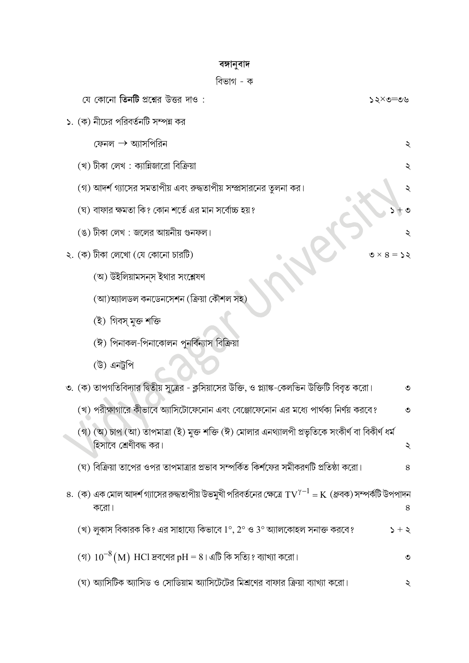### বঙ্গানুবাদ

|  | যে কোনো <b>তিনটি</b> প্রশ্নের উত্তর দাও :                                                                                          | ৩৩=৩×১১           |
|--|------------------------------------------------------------------------------------------------------------------------------------|-------------------|
|  | ১. (ক) নীচের পরিবর্তনটি সম্পন্ন কর                                                                                                 |                   |
|  | ফেনল $\rightarrow$ অ্যাসপিরিন                                                                                                      | ২                 |
|  | (খ) টীকা লেখ : ক্যান্নিজারো বিক্রিয়া                                                                                              |                   |
|  | (গ) আদর্শ গ্যাসের সমতাপীয় এবং রুদ্ধতাপীয় সম্প্রসারনের তুলনা কর।                                                                  | ২                 |
|  | (ঘ) বাফার ক্ষমতা কি? কোন শর্তে এর মান সর্বোচ্চ হয়?                                                                                |                   |
|  | (ঙ) টীকা লেখ : জলের আয়নীয় গুনফল।                                                                                                 |                   |
|  | ২. (ক) টীকা লেখো (যে কোনো চারটি)                                                                                                   | $0 \times 8 = 25$ |
|  | (অ) উইলিয়ামসন্স ইথার সংশ্লেষণ                                                                                                     |                   |
|  | (আ)অ্যালডল কনডেনসেশন (ক্রিয়া কৌশল সহ)                                                                                             |                   |
|  | (ই) গিবস্ মুক্ত শক্তি                                                                                                              |                   |
|  | (ঈ) পিনাকল-পিনাকোলন পুনর্বিন্যাস বিক্রিয়া                                                                                         |                   |
|  | (উ) এনট্রপি                                                                                                                        |                   |
|  | ৩. (ক) তাপগতিবিদ্যার দ্বিতীয় সূত্রের - ক্লসিয়াসের উক্তি, ও প্ল্যাঙ্ক-কেলভিন উক্তিটি বিবৃত করো।                                   | ৩                 |
|  | (খ) পরীক্ষাগারে কীভাবে অ্যাসিটোফেনোন এবং বেঞ্জোফেনোন এর মধ্যে পার্থক্য নির্ণয় করবে?                                               | $\circ$           |
|  | (গ) (অ) চাপ (আ) তাপমাত্রা (ই) মুক্ত শক্তি (ঈ) মোলার এনথ্যালপী প্রভৃতিকে সংকীর্ণ বা বিকীর্ণ ধর্ম<br>হিসাবে শ্রেণীবদ্ধ কর।           |                   |
|  | (ঘ) বিক্রিয়া তাপের ওপর তাপমাত্রার প্রভাব সম্পর্কিত কির্শফের সমীকরণটি প্রতিষ্ঠা করো।                                               | 8                 |
|  | ৪. (ক) এক মোল আদর্শ গ্যাসের রুদ্ধতাপীয় উভমুখী পরিবর্তনের ক্ষেত্রে $\rm{TV}^{\gamma-1} = \rm{K}$ (ধ্রুবক) সম্পর্কটি উপপাদন<br>করো। | 8                 |
|  | (খ) লুকাস বিকারক কি? এর সাহায্যে কিভাবে 1°, 2° ও 3° অ্যালকোহল সনাক্ত করবে?                                                         | $5 + 5$           |
|  | (গ) $10^{-8}$ (M) HCl দ্রবণের pH = 8। এটি কি সত্যি? ব্যাখ্যা করো।                                                                  | $\circ$           |
|  | (ঘ) অ্যাসিটিক অ্যাসিড ও সোডিয়াম অ্যাসিটেটের মিশ্রণের বাফার ক্রিয়া ব্যাখ্যা করো।                                                  | ২                 |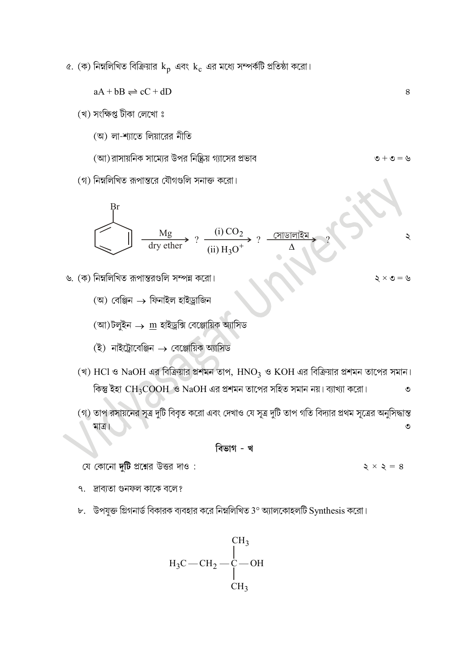$\alpha$ . (ক) নিম্নলিখিত বিক্রিয়ার  ${\rm k_{p}}$  এবং  ${\rm k_{c}}$  এর মধ্যে সম্পর্কটি প্রতিষ্ঠা করো।

$$
aA + bB \rightleftharpoons cC + dD
$$

(খ) সংক্ষিপ্ত টীকা লেখো ঃ

(অ) লা-শ্যাতে লিয়ারের নীতি

(আ) রাসায়নিক সাম্যের উপর নিষ্ক্রিয় গ্যাসের প্রভাব  $\psi = \phi +$ 

(গ) নিম্নলিখিত রূপান্তরে যৌগগুলি সনাক্ত করো।

$$
\begin{array}{c}\n\text{Br} \\
\hline\n\text{dry ether} \\
\hline\n\text{dry ether} \\
\end{array}\n\quad ? \xrightarrow{\text{(i) CO}_2} \begin{array}{c}\n\text{(ii) H}_3\text{O}^+ \\
\hline\n\text{(iii) H}_3\text{O}^+ \\
\end{array}\n\quad ? \xrightarrow{\text{(7) } \text{(7) } \text{(8) } \text{(9) } \text{(10) } \text{(11) } \text{(11) } \text{(12) } \text{(13) } \text{(14) } \text{(15) } \text{(16) } \text{(17) } \text{(19) } \text{(19) } \text{(19) } \text{(19) } \text{(19) } \text{(19) } \text{(19) } \text{(19) } \text{(19) } \text{(19) } \text{(19) } \text{(19) } \text{(19) } \text{(19) } \text{(19) } \text{(19) } \text{(19) } \text{(19) } \text{(19) } \text{(19) } \text{(19) } \text{(19) } \text{(19) } \text{(19) } \text{(19) } \text{(19) } \text{(19) } \text{(19) } \text{(19) } \text{(19) } \text{(19) } \text{(19) } \text{(19) } \text{(19) } \text{(19) } \text{(19) } \text{(19) } \text{(19) } \text{(19) } \text{(19) } \text{(19) } \text{(19) } \text{(19) } \text{(19) } \text{(19) } \text{(19) } \text{(19) } \text{(19) } \text{(19) } \text{(19) } \text{(19) } \text{(19) } \text{(19) } \text{(19) } \text{(19) } \text{(19) } \text{(19) } \text{(19) } \text{(19) } \text{(19) } \text{(19) } \text{(19) } \text{(19) } \text{(19) } \text{(19) } \text{(19) } \text{(19) } \text{(19) } \text{(19) } \text{(19) } \text{(19) } \text{(19) } \text{(19) } \text{(19) } \text{(19) } \text{(19) } \text{(19) } \text{(19) } \text{(19) } \text{(19
$$

৬. (ক) নিম্নলিখিত রূপান্তরগুলি সম্পন্ন করো।

- (অ) বেঞ্জিন ফিনাইল হাইড্ৰাজিন
- (আ)টলুইন  $\rightarrow \underline{\text{m}}$  হাইড্ৰক্সি বেঞ্জোয়িক অ্যাসিড
- $(\bar{\mathcal{Z}})$  নাইট্রোবেঞ্জিন  $\rightarrow$  বেঞ্জোয়িক অ্যাসিড
- $\rm HCl$  ও  $\rm NaOH$  এর বিক্রিয়ার প্রশমন তাপ,  $\rm HNO_3$  ও  $\rm KOH$ কিন্তু ইহা  $\mathrm{CH_{3}COOH}$  ও NaOH এর প্রশমন তাপের সহিত সমান নয়। ব্যাখ্যা করো। ক্রিয়ার প্রশমন তাপ, HNO<sub>3</sub> ও KOH এর বিক্রিয়ার প্রশমন তাপের সমান।<br>৩ NaOH এর প্রশমন তাপের সহিত সমান নয়। ব্যাখ্যা করো।<br>বিবৃত করো এবং দেখাও যে সূত্র দুটি তাপ গতি বিদ্যার প্রথম সূত্রের অনুসিদ্ধান্ত<br>বিকৃত করো এবং দেখাও যে স
- মাত্র।

- ৭ দ্রাবাতা গুনফল কাকে বলে?
- $b$ . উপযুক্ত গ্রিগনার্ড বিকারক ব্যবহার করে নিম্নলিখিত 3° অ্যালকোহলটি Synthesis করো।

$$
H_3C - CH_2 - \underset{CH_3}{\overset{\text{CH}_3}{\underset{\text{CH}_3}{\bigcup}}}
$$

 $5 \times 5 = 8$ 

8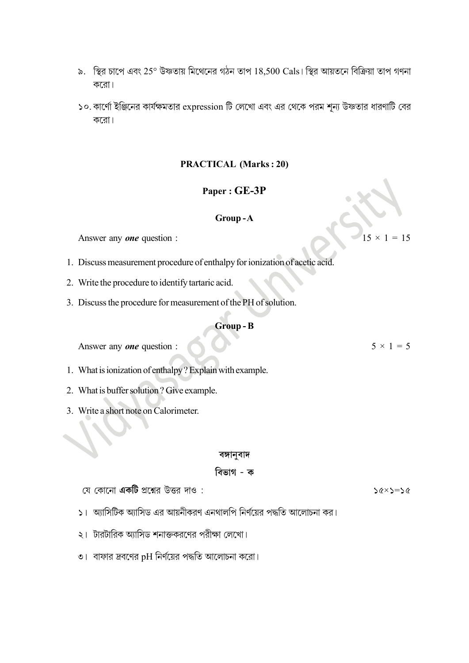- ৯. স্থির চাপে এবং 25° উষ্ণতায় মিথেনের গঠন তাপ 18,500 Cals। স্থির আয়তনে বিক্রিয়া তাপ গণনা করো।
- ১০. কার্ণো ইঞ্জিনের কার্যক্ষমতার  $\exp$ cssion টি লেখো এবং এর থেকে পরম শূন্য উষ্ণতার ধারণাটি বের করো।

### PRACTICAL (Marks : 20)

#### Paper : GE-3P

#### Group - A

Answer any **one** question :

- 1. Discuss measurement procedure of enthalpy for ionization of acetic acid.
- 2. Write the procedure to identify tartaric acid.
- 3. Discuss the procedure for measurement of the PH of solution.

#### Group - B

Answer any *one* question :  $5 \times 1 = 5$ 

- 1. What is ionization of enthalpy ? Explain with example.
- 2. What is buffer solution ? Give example.
- 3. Write a short note on Calorimeter.

#### বঙ্গানবাদ

#### বিভাগ - ক

য়ে কোনো **একটি** প্রশ্নের উত্তর দাও :

- $56 \times 5 = 26$
- ১। অ্যাসিটিক অ্যাসিড এর আয়নীকরণ এনথালপি নির্ণয়ের পদ্ধতি আলোচনা কর।
- ২। টারটারিক অ্যাসিড শনাক্তকরণের পরীক্ষা লেখো।
- ৩। বাফার দ্রবণের pH নির্ণয়ের পদ্ধতি আলোচনা করো।